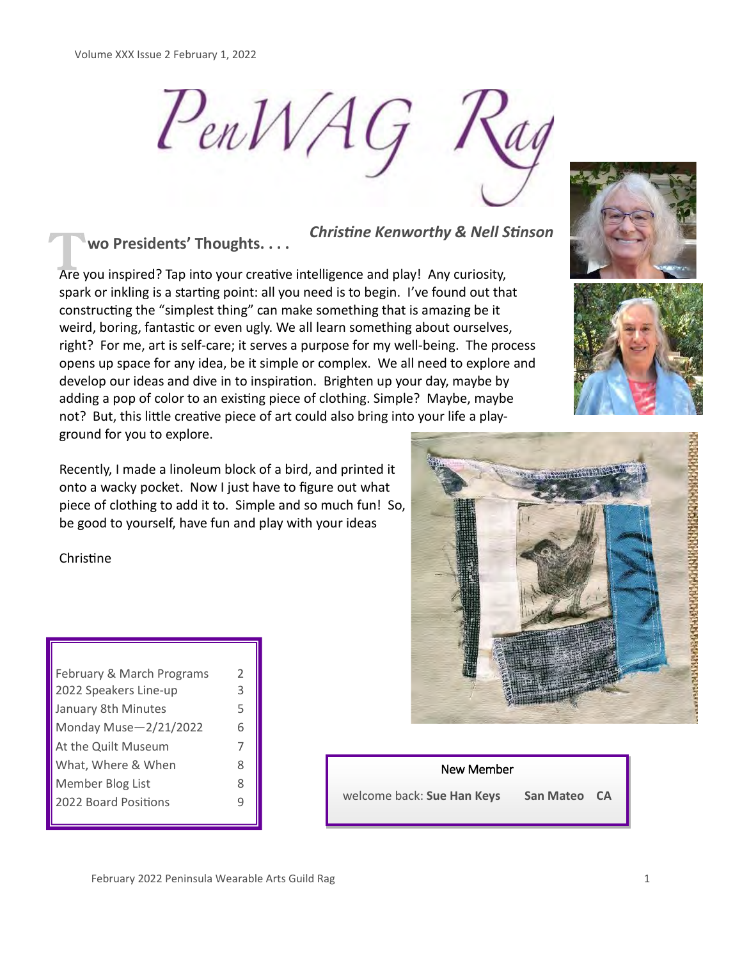$P_{en}WAG$ 

# **wo Presidents' Thoughts. . . .**

*Christine Kenworthy & Nell Stinson*

Are you inspired? Thoughts. . . .<br>Are you inspired? Tap into your creative intelligence and play! Any curiosity, spark or inkling is a starting point: all you need is to begin. I've found out that constructing the "simplest thing" can make something that is amazing be it weird, boring, fantastic or even ugly. We all learn something about ourselves, right? For me, art is self-care; it serves a purpose for my well-being. The process opens up space for any idea, be it simple or complex. We all need to explore and develop our ideas and dive in to inspiration. Brighten up your day, maybe by adding a pop of color to an existing piece of clothing. Simple? Maybe, maybe not? But, this little creative piece of art could also bring into your life a playground for you to explore.

Recently, I made a linoleum block of a bird, and printed it onto a wacky pocket. Now I just have to figure out what piece of clothing to add it to. Simple and so much fun! So, be good to yourself, have fun and play with your ideas

Christine

| February & March Programs | $\mathcal{P}$ |
|---------------------------|---------------|
| 2022 Speakers Line-up     | 3             |
| January 8th Minutes       | 5             |
| Monday Muse-2/21/2022     | 6             |
| At the Quilt Museum       | 7             |
| What, Where & When        | ጸ             |
| Member Blog List          | 8             |
| 2022 Board Positions      |               |
|                           |               |





New Member

welcome back: **Sue Han Keys San Mateo CA**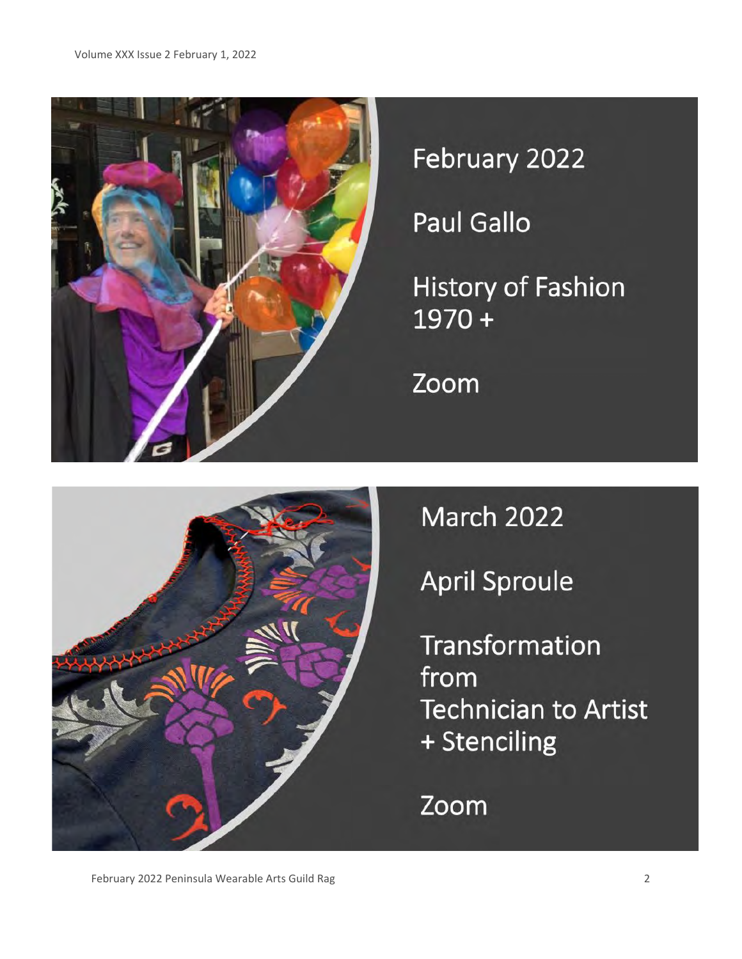

February 2022

**Paul Gallo** 

History of Fashion  $1970 +$ 

Zoom



**March 2022** 

**April Sproule** 

Transformation from **Technician to Artist** + Stenciling

Zoom

February 2022 Peninsula Wearable Arts Guild Rag 2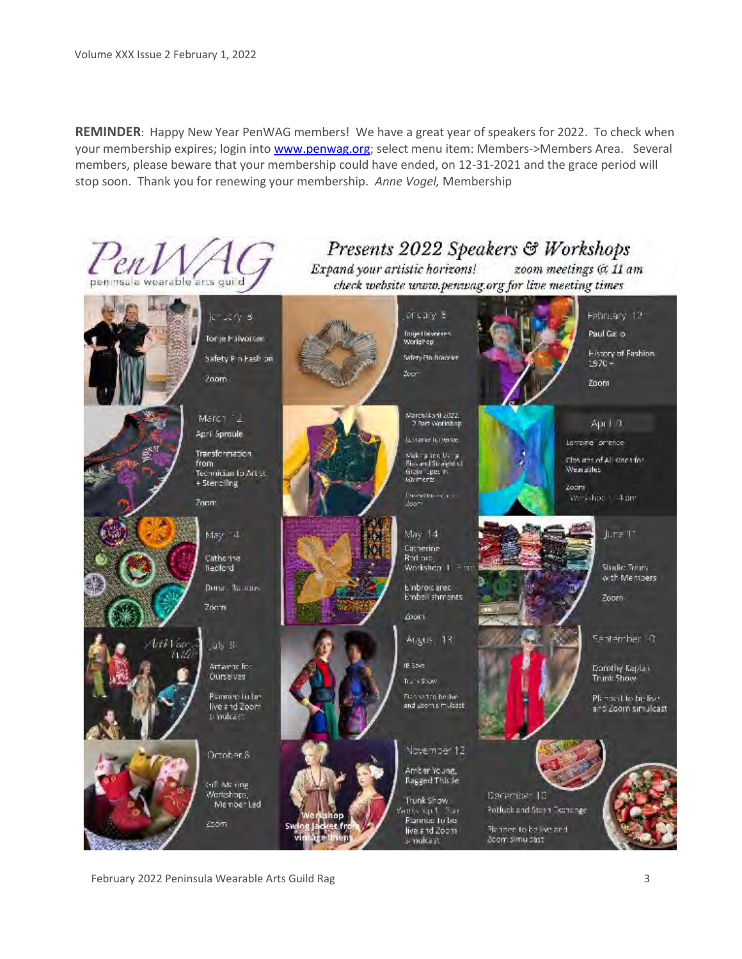**REMINDER**: Happy New Year PenWAG members! We have a great year of speakers for 2022. To check when your membership expires; login into [www.penwag.org;](http://www.penwag.org) select menu item: Members->Members Area. Several members, please beware that your membership could have ended, on 12-31-2021 and the grace period will stop soon. Thank you for renewing your membership. *Anne Vogel,* Membership



February 2022 Peninsula Wearable Arts Guild Rag 3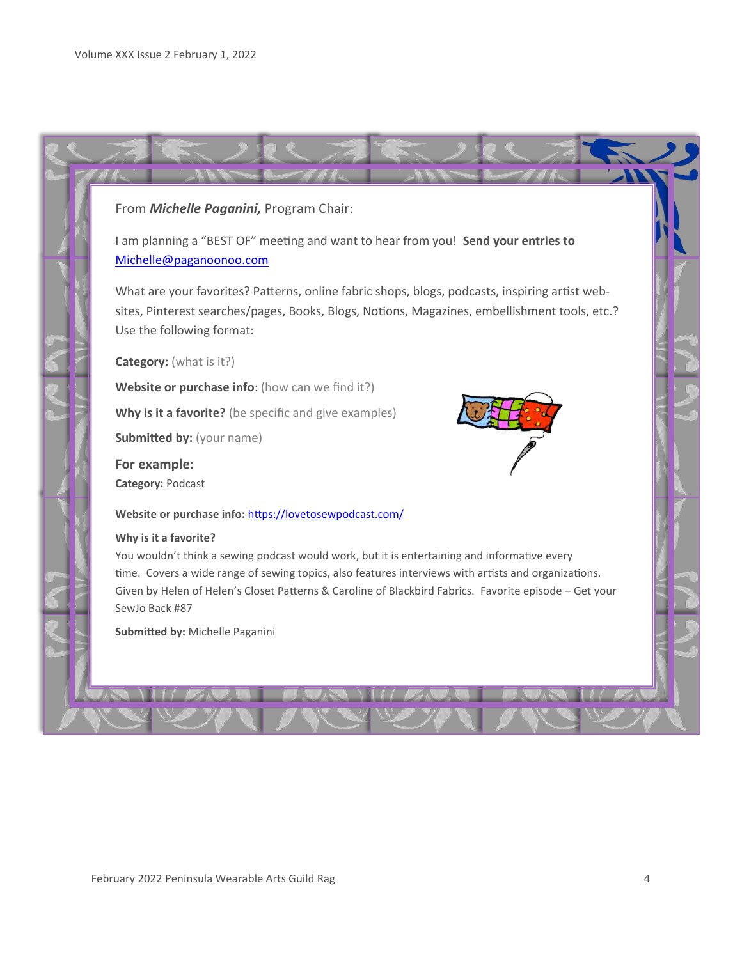# From *Michelle Paganini,* Program Chair:

I am planning a "BEST OF" meeting and want to hear from you! **Send your entries to**  Michelle@paganoonoo.com

What are your favorites? Patterns, online fabric shops, blogs, podcasts, inspiring artist websites, Pinterest searches/pages, Books, Blogs, Notions, Magazines, embellishment tools, etc.? Use the following format:

**Category:** (what is it?)

**Website or purchase info**: (how can we find it?)

Why is it a favorite? (be specific and give examples)

**Submitted by:** (your name)

**For example: Category:** Podcast

Website or purchase info: <https://lovetosewpodcast.com/>

#### **Why is it a favorite?**

You wouldn't think a sewing podcast would work, but it is entertaining and informative every time. Covers a wide range of sewing topics, also features interviews with artists and organizations. Given by Helen of Helen's Closet Patterns & Caroline of Blackbird Fabrics. Favorite episode – Get your SewJo Back #87

**Submitted by:** Michelle Paganini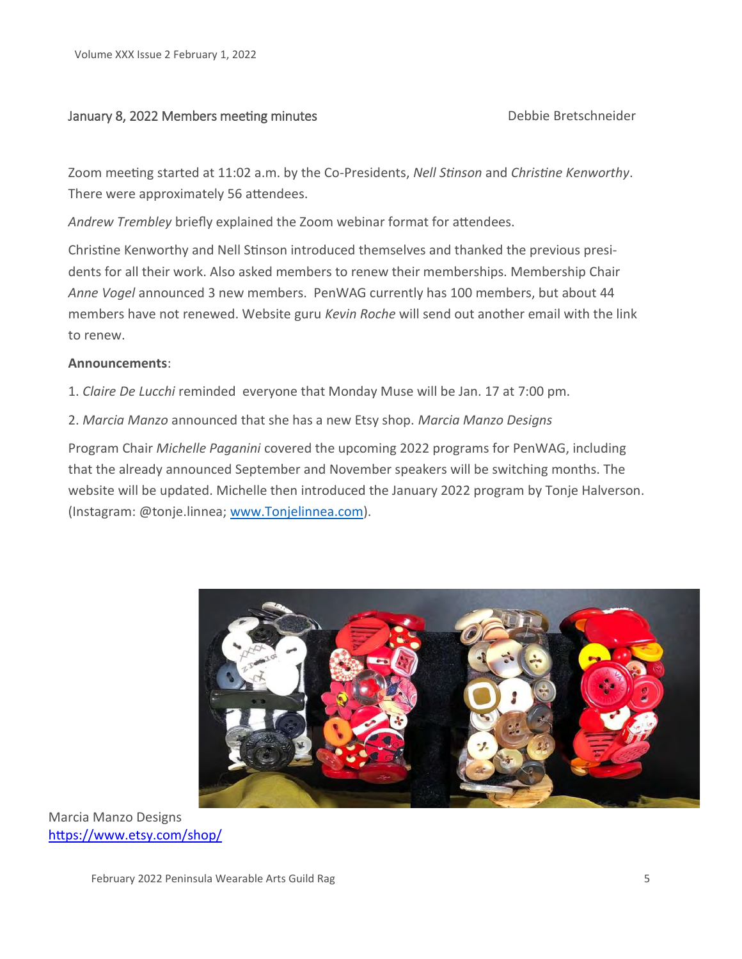# January 8, 2022 Members meeting minutes Debbie Bretschneider

Zoom meeting started at 11:02 a.m. by the Co-Presidents, *Nell Stinson* and *Christine Kenworthy*. There were approximately 56 attendees.

*Andrew Trembley* briefly explained the Zoom webinar format for attendees.

Christine Kenworthy and Nell Stinson introduced themselves and thanked the previous presidents for all their work. Also asked members to renew their memberships. Membership Chair *Anne Vogel* announced 3 new members. PenWAG currently has 100 members, but about 44 members have not renewed. Website guru *Kevin Roche* will send out another email with the link to renew.

# **Announcements**:

1. *Claire De Lucchi* reminded everyone that Monday Muse will be Jan. 17 at 7:00 pm.

2. *Marcia Manzo* announced that she has a new Etsy shop. *Marcia Manzo Designs*

Program Chair *Michelle Paganini* covered the upcoming 2022 programs for PenWAG, including that the already announced September and November speakers will be switching months. The website will be updated. Michelle then introduced the January 2022 program by Tonje Halverson. (Instagram: @tonje.linnea; www.Tonjelinnea.com).



Marcia Manzo Designs [https://www.etsy.com/shop/](https://www.etsy.com/shop/MarciaManzoDesign?ref=l2-about-shopname)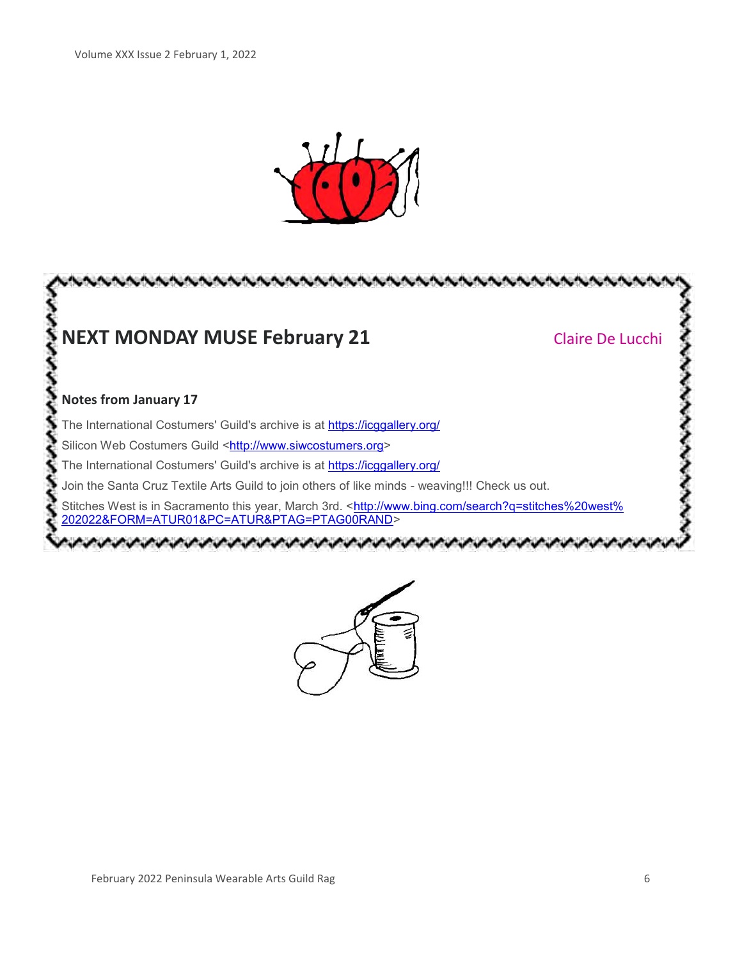



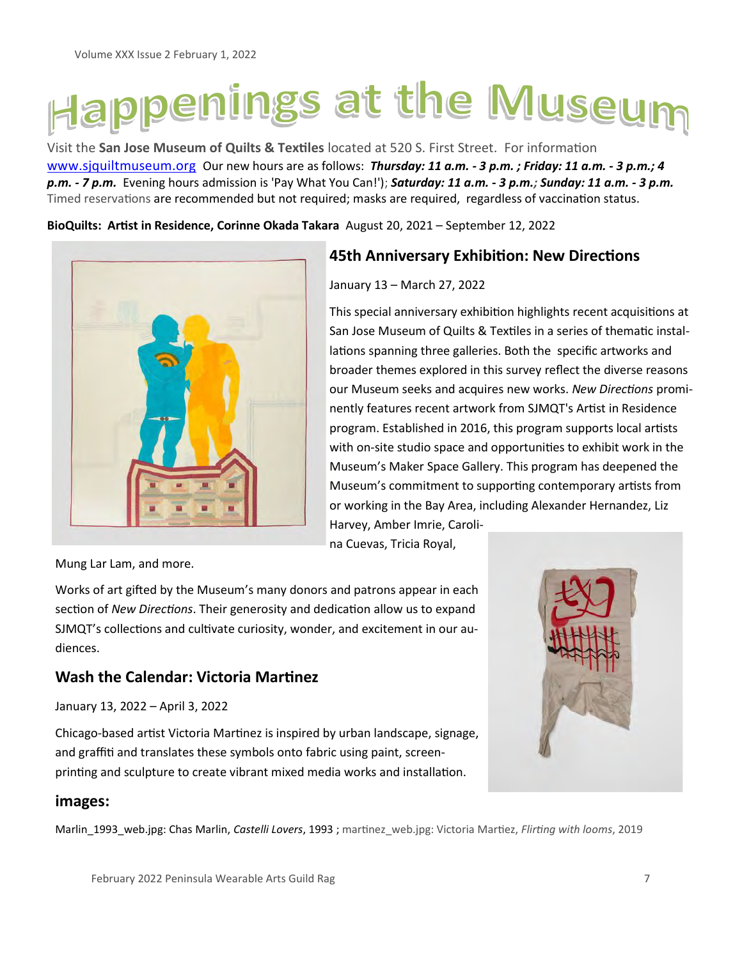# Happenings at the Museum

Visit the **San Jose Museum of Quilts & Textiles** located at 520 S. First Street. For information [www.sjquiltmuseum.org](http://www.sjquiltmuseum.org/) Our new hours are as follows: *Thursday: 11 a.m. - 3 p.m. ; Friday: 11 a.m. - 3 p.m.; 4 p.m. - 7 p.m.* Evening hours admission is 'Pay What You Can!'); *Saturday: 11 a.m. - 3 p.m.; Sunday: 11 a.m. - 3 p.m.* Timed reservations are recommended but not required; masks are required, regardless of vaccination status.

**BioQuilts: Artist in Residence, Corinne Okada Takara** August 20, 2021 – September 12, 2022



# **45th Anniversary Exhibition: New Directions**

# January 13 – March 27, 2022

This special anniversary exhibition highlights recent acquisitions at San Jose Museum of Quilts & Textiles in a series of thematic installations spanning three galleries. Both the specific artworks and broader themes explored in this survey reflect the diverse reasons our Museum seeks and acquires new works. *New Directions* prominently features recent artwork from SJMQT's Artist in Residence program. Established in 2016, this program supports local artists with on-site studio space and opportunities to exhibit work in the Museum's Maker Space Gallery. This program has deepened the Museum's commitment to supporting contemporary artists from or working in the Bay Area, including Alexander Hernandez, Liz Harvey, Amber Imrie, Caroli-

na Cuevas, Tricia Royal,

Mung Lar Lam, and more.

Works of art gifted by the Museum's many donors and patrons appear in each section of *New Directions*. Their generosity and dedication allow us to expand SJMQT's collections and cultivate curiosity, wonder, and excitement in our audiences.

# **Wash the Calendar: Victoria Martinez**

January 13, 2022 – April 3, 2022

Chicago-based artist Victoria Martinez is inspired by urban landscape, signage, and graffiti and translates these symbols onto fabric using paint, screenprinting and sculpture to create vibrant mixed media works and installation.

# **images:**

Marlin\_1993\_web.jpg: Chas Marlin, *Castelli Lovers*, 1993 ; martinez\_web.jpg: Victoria Martiez, *Flirting with looms*, 2019